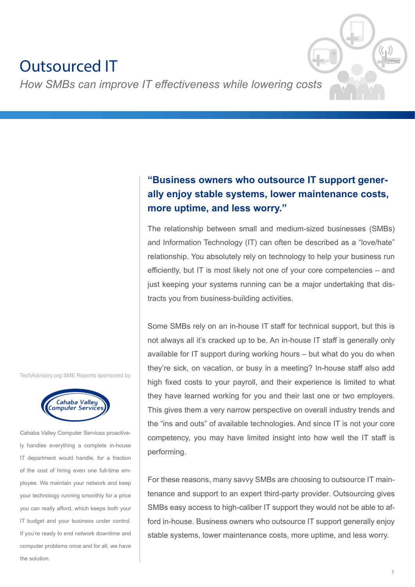# Outsourced IT

*How SMBs can improve IT effectiveness while lowering costs*

**"Business owners who outsource IT support generally enjoy stable systems, lower maintenance costs, more uptime, and less worry."**

The relationship between small and medium-sized businesses (SMBs) and Information Technology (IT) can often be described as a "love/hate" relationship. You absolutely rely on technology to help your business run efficiently, but IT is most likely not one of your core competencies – and just keeping your systems running can be a major undertaking that distracts you from business-building activities.

Some SMBs rely on an in-house IT staff for technical support, but this is not always all it's cracked up to be. An in-house IT staff is generally only available for IT support during working hours – but what do you do when they're sick, on vacation, or busy in a meeting? In-house staff also add high fixed costs to your payroll, and their experience is limited to what they have learned working for you and their last one or two employers. This gives them a very narrow perspective on overall industry trends and the "ins and outs" of available technologies. And since IT is not your core competency, you may have limited insight into how well the IT staff is performing.

For these reasons, many savvy SMBs are choosing to outsource IT maintenance and support to an expert third-party provider. Outsourcing gives SMBs easy access to high-caliber IT support they would not be able to afford in-house. Business owners who outsource IT support generally enjoy stable systems, lower maintenance costs, more uptime, and less worry.

TechAdvisory.org SME Reports sponsored by



Cahaba Valley Computer Services proactively handles everything a complete in-house IT department would handle, for a fraction of the cost of hiring even one full-time employee. We maintain your network and keep your technology running smoothly for a price you can really afford, which keeps both your IT budget and your business under control. If you're ready to end network downtime and computer problems once and for all, we have the solution.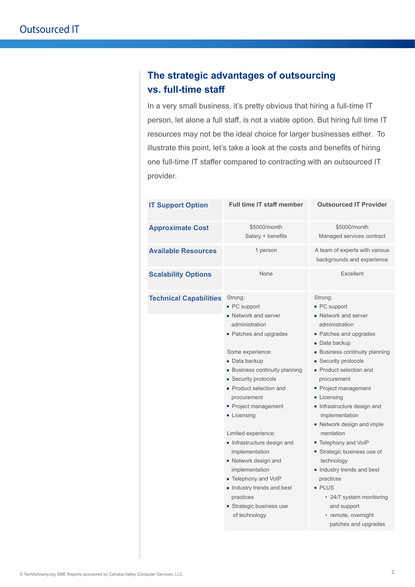### **The strategic advantages of outsourcing vs. full-time staff**

In a very small business, it's pretty obvious that hiring a full-time IT person, let alone a full staff, is not a viable option. But hiring full time IT resources may not be the ideal choice for larger businesses either. To illustrate this point, let's take a look at the costs and benefits of hiring one full-time IT staffer compared to contracting with an outsourced IT provider.

| <b>IT Support Option</b>      | <b>Full time IT staff member</b>                                                                                                                                                                                                                                                                                                                                                                                                                                                               | <b>Outsourced IT Provider</b>                                                                                                                                                                                                                                                                                                                                                                                                                                                                                            |
|-------------------------------|------------------------------------------------------------------------------------------------------------------------------------------------------------------------------------------------------------------------------------------------------------------------------------------------------------------------------------------------------------------------------------------------------------------------------------------------------------------------------------------------|--------------------------------------------------------------------------------------------------------------------------------------------------------------------------------------------------------------------------------------------------------------------------------------------------------------------------------------------------------------------------------------------------------------------------------------------------------------------------------------------------------------------------|
| <b>Approximate Cost</b>       | \$5000/month<br>Salary + benefits                                                                                                                                                                                                                                                                                                                                                                                                                                                              | \$5000/month<br>Managed services contract                                                                                                                                                                                                                                                                                                                                                                                                                                                                                |
| <b>Available Resources</b>    | 1 person                                                                                                                                                                                                                                                                                                                                                                                                                                                                                       | A team of experts with various<br>backgrounds and experience                                                                                                                                                                                                                                                                                                                                                                                                                                                             |
| <b>Scalability Options</b>    | None                                                                                                                                                                                                                                                                                                                                                                                                                                                                                           | <b>Fxcellent</b>                                                                                                                                                                                                                                                                                                                                                                                                                                                                                                         |
| <b>Technical Capabilities</b> | Strong:<br>■ PC support<br>Network and server<br>administration<br>• Patches and upgrades<br>Some experience:<br>■ Data backup<br><b>Business continuity planning</b><br>■ Security protocols<br>• Product selection and<br>procurement<br>Project management<br><b>Licensing</b><br>Limited experience:<br>Infrastructure design and<br>implementation<br>• Network design and<br>implementation<br>■ Telephony and VoIP<br>Industry trends and best<br>practices<br>■ Strategic business use | Strong:<br>■ PC support<br>• Network and server<br>administration<br>■ Patches and upgrades<br>■ Data backup<br><b>Business continuity planning</b><br>■ Security protocols<br>• Product selection and<br>procurement<br>Project management<br>Licensing<br>Infrastructure design and<br>implementation<br>Network design and imple<br>mentation<br>■ Telephony and VoIP<br>■ Strategic business use of<br>technology<br>Industry trends and best<br>practices<br><b>PLUS</b><br>• 24/7 system monitoring<br>and support |
|                               | of technology                                                                                                                                                                                                                                                                                                                                                                                                                                                                                  | • remote, overnight<br>patches and upgrades                                                                                                                                                                                                                                                                                                                                                                                                                                                                              |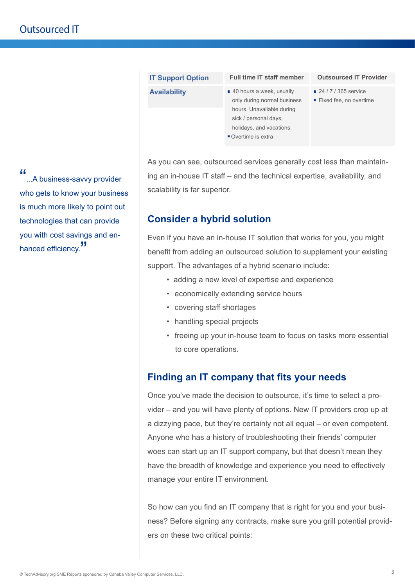| <b>Availability</b> | ■ 40 hours a week, usually<br>only during normal business | ■ 24 / 7 / 365 service<br>■ Fixed fee, no overtime |
|---------------------|-----------------------------------------------------------|----------------------------------------------------|
|                     | hours. Unavailable during                                 |                                                    |
|                     | sick / personal days,                                     |                                                    |
|                     | holidays, and vacations.                                  |                                                    |
|                     | Overtime is extra                                         |                                                    |
|                     |                                                           |                                                    |
|                     |                                                           |                                                    |

**Outsourced IT Provider**

As you can see, outsourced services generally cost less than maintaining an in-house IT staff – and the technical expertise, availability, and scalability is far superior.

#### **Consider a hybrid solution**

**IT Support Option Full time IT staff member**

Even if you have an in-house IT solution that works for you, you might benefit from adding an outsourced solution to supplement your existing support. The advantages of a hybrid scenario include:

- adding a new level of expertise and experience
- economically extending service hours
- covering staff shortages
- handling special projects
- freeing up your in-house team to focus on tasks more essential to core operations.

### **Finding an IT company that fits your needs**

Once you've made the decision to outsource, it's time to select a provider – and you will have plenty of options. New IT providers crop up at a dizzying pace, but they're certainly not all equal – or even competent. Anyone who has a history of troubleshooting their friends' computer woes can start up an IT support company, but that doesn't mean they have the breadth of knowledge and experience you need to effectively manage your entire IT environment.

So how can you find an IT company that is right for you and your business? Before signing any contracts, make sure you grill potential providers on these two critical points:

"...A business-savvy provider who gets to know your business is much more likely to point out technologies that can provide you with cost savings and enhanced efficiency.<sup>"</sup>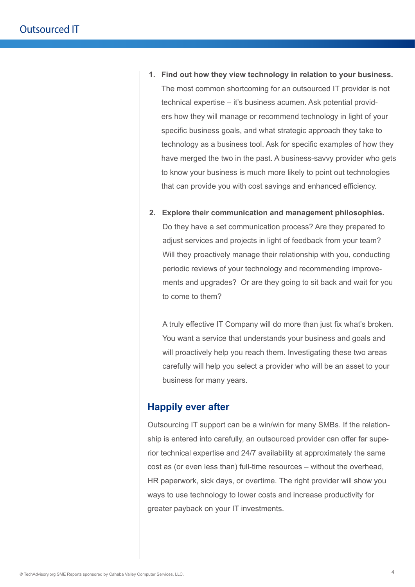- **1. Find out how they view technology in relation to your business.** The most common shortcoming for an outsourced IT provider is not technical expertise – it's business acumen. Ask potential providers how they will manage or recommend technology in light of your specific business goals, and what strategic approach they take to technology as a business tool. Ask for specific examples of how they have merged the two in the past. A business-savvy provider who gets to know your business is much more likely to point out technologies that can provide you with cost savings and enhanced efficiency.
- **2. Explore their communication and management philosophies.** Do they have a set communication process? Are they prepared to adjust services and projects in light of feedback from your team? Will they proactively manage their relationship with you, conducting periodic reviews of your technology and recommending improvements and upgrades? Or are they going to sit back and wait for you to come to them?

A truly effective IT Company will do more than just fix what's broken. You want a service that understands your business and goals and will proactively help you reach them. Investigating these two areas carefully will help you select a provider who will be an asset to your business for many years.

#### **Happily ever after**

Outsourcing IT support can be a win/win for many SMBs. If the relationship is entered into carefully, an outsourced provider can offer far superior technical expertise and 24/7 availability at approximately the same cost as (or even less than) full-time resources – without the overhead, HR paperwork, sick days, or overtime. The right provider will show you ways to use technology to lower costs and increase productivity for greater payback on your IT investments.